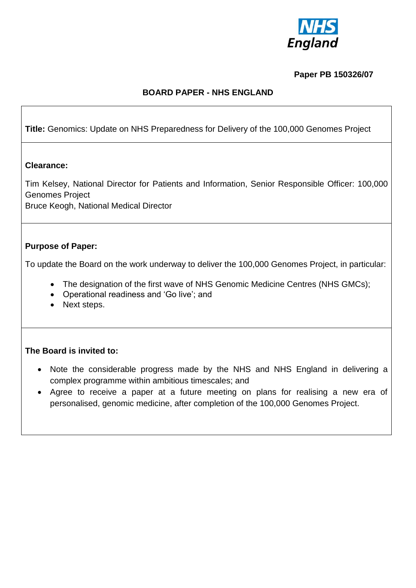

## **Paper PB 150326/07**

# **BOARD PAPER - NHS ENGLAND**

**Title:** Genomics: Update on NHS Preparedness for Delivery of the 100,000 Genomes Project

#### **Clearance:**

Tim Kelsey, National Director for Patients and Information, Senior Responsible Officer: 100,000 Genomes Project

Bruce Keogh, National Medical Director

### **Purpose of Paper:**

To update the Board on the work underway to deliver the 100,000 Genomes Project, in particular:

- The designation of the first wave of NHS Genomic Medicine Centres (NHS GMCs);
- Operational readiness and 'Go live'; and
- Next steps.

### **The Board is invited to:**

- Note the considerable progress made by the NHS and NHS England in delivering a complex programme within ambitious timescales; and
- Agree to receive a paper at a future meeting on plans for realising a new era of personalised, genomic medicine, after completion of the 100,000 Genomes Project.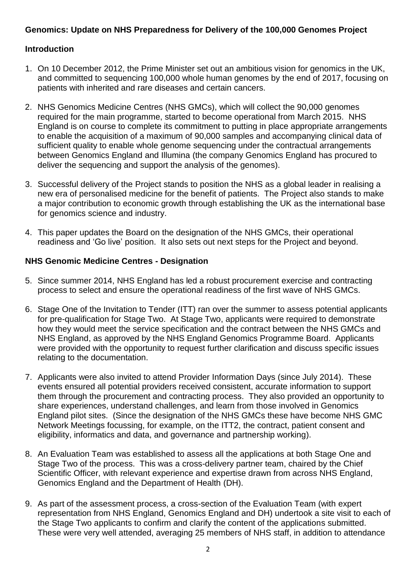# **Genomics: Update on NHS Preparedness for Delivery of the 100,000 Genomes Project**

## **Introduction**

- 1. On 10 December 2012, the Prime Minister set out an ambitious vision for genomics in the UK, and committed to sequencing 100,000 whole human genomes by the end of 2017, focusing on patients with inherited and rare diseases and certain cancers.
- 2. NHS Genomics Medicine Centres (NHS GMCs), which will collect the 90,000 genomes required for the main programme, started to become operational from March 2015. NHS England is on course to complete its commitment to putting in place appropriate arrangements to enable the acquisition of a maximum of 90,000 samples and accompanying clinical data of sufficient quality to enable whole genome sequencing under the contractual arrangements between Genomics England and Illumina (the company Genomics England has procured to deliver the sequencing and support the analysis of the genomes).
- 3. Successful delivery of the Project stands to position the NHS as a global leader in realising a new era of personalised medicine for the benefit of patients. The Project also stands to make a major contribution to economic growth through establishing the UK as the international base for genomics science and industry.
- 4. This paper updates the Board on the designation of the NHS GMCs, their operational readiness and 'Go live' position. It also sets out next steps for the Project and beyond.

## **NHS Genomic Medicine Centres - Designation**

- 5. Since summer 2014, NHS England has led a robust procurement exercise and contracting process to select and ensure the operational readiness of the first wave of NHS GMCs.
- 6. Stage One of the Invitation to Tender (ITT) ran over the summer to assess potential applicants for pre-qualification for Stage Two. At Stage Two, applicants were required to demonstrate how they would meet the service specification and the contract between the NHS GMCs and NHS England, as approved by the NHS England Genomics Programme Board. Applicants were provided with the opportunity to request further clarification and discuss specific issues relating to the documentation.
- 7. Applicants were also invited to attend Provider Information Days (since July 2014). These events ensured all potential providers received consistent, accurate information to support them through the procurement and contracting process. They also provided an opportunity to share experiences, understand challenges, and learn from those involved in Genomics England pilot sites. (Since the designation of the NHS GMCs these have become NHS GMC Network Meetings focussing, for example, on the ITT2, the contract, patient consent and eligibility, informatics and data, and governance and partnership working).
- 8. An Evaluation Team was established to assess all the applications at both Stage One and Stage Two of the process. This was a cross-delivery partner team, chaired by the Chief Scientific Officer, with relevant experience and expertise drawn from across NHS England, Genomics England and the Department of Health (DH).
- 9. As part of the assessment process, a cross-section of the Evaluation Team (with expert representation from NHS England, Genomics England and DH) undertook a site visit to each of the Stage Two applicants to confirm and clarify the content of the applications submitted. These were very well attended, averaging 25 members of NHS staff, in addition to attendance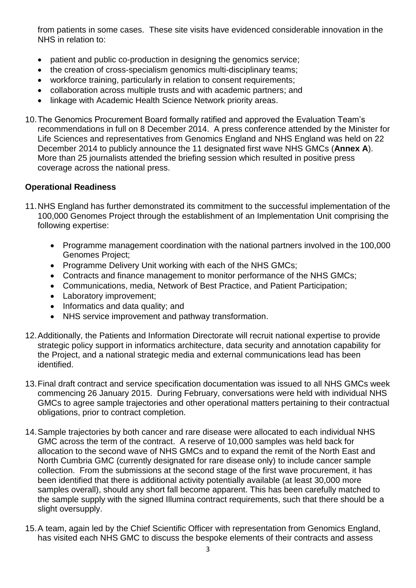from patients in some cases. These site visits have evidenced considerable innovation in the NHS in relation to:

- patient and public co-production in designing the genomics service;
- the creation of cross-specialism genomics multi-disciplinary teams;
- workforce training, particularly in relation to consent requirements;
- collaboration across multiple trusts and with academic partners; and
- linkage with Academic Health Science Network priority areas.
- 10.The Genomics Procurement Board formally ratified and approved the Evaluation Team's recommendations in full on 8 December 2014. A press conference attended by the Minister for Life Sciences and representatives from Genomics England and NHS England was held on 22 December 2014 to publicly announce the 11 designated first wave NHS GMCs (**Annex A**). More than 25 journalists attended the briefing session which resulted in positive press coverage across the national press.

## **Operational Readiness**

- 11.NHS England has further demonstrated its commitment to the successful implementation of the 100,000 Genomes Project through the establishment of an Implementation Unit comprising the following expertise:
	- Programme management coordination with the national partners involved in the 100,000 Genomes Project;
	- Programme Delivery Unit working with each of the NHS GMCs;
	- Contracts and finance management to monitor performance of the NHS GMCs;
	- Communications, media, Network of Best Practice, and Patient Participation;
	- Laboratory improvement;
	- Informatics and data quality; and
	- NHS service improvement and pathway transformation.
- 12.Additionally, the Patients and Information Directorate will recruit national expertise to provide strategic policy support in informatics architecture, data security and annotation capability for the Project, and a national strategic media and external communications lead has been identified.
- 13.Final draft contract and service specification documentation was issued to all NHS GMCs week commencing 26 January 2015. During February, conversations were held with individual NHS GMCs to agree sample trajectories and other operational matters pertaining to their contractual obligations, prior to contract completion.
- 14.Sample trajectories by both cancer and rare disease were allocated to each individual NHS GMC across the term of the contract. A reserve of 10,000 samples was held back for allocation to the second wave of NHS GMCs and to expand the remit of the North East and North Cumbria GMC (currently designated for rare disease only) to include cancer sample collection. From the submissions at the second stage of the first wave procurement, it has been identified that there is additional activity potentially available (at least 30,000 more samples overall), should any short fall become apparent. This has been carefully matched to the sample supply with the signed Illumina contract requirements, such that there should be a slight oversupply.
- 15.A team, again led by the Chief Scientific Officer with representation from Genomics England, has visited each NHS GMC to discuss the bespoke elements of their contracts and assess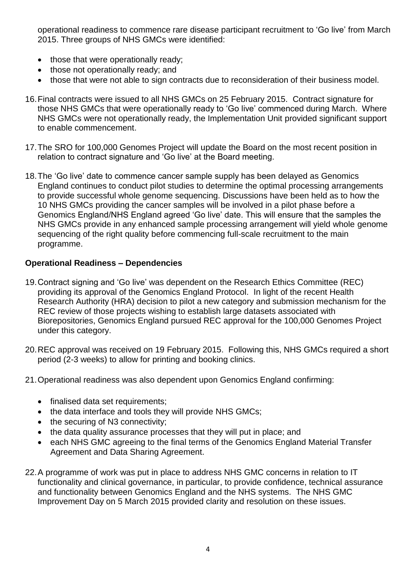operational readiness to commence rare disease participant recruitment to 'Go live' from March 2015. Three groups of NHS GMCs were identified:

- those that were operationally ready;
- those not operationally ready; and
- those that were not able to sign contracts due to reconsideration of their business model.
- 16.Final contracts were issued to all NHS GMCs on 25 February 2015. Contract signature for those NHS GMCs that were operationally ready to 'Go live' commenced during March. Where NHS GMCs were not operationally ready, the Implementation Unit provided significant support to enable commencement.
- 17.The SRO for 100,000 Genomes Project will update the Board on the most recent position in relation to contract signature and 'Go live' at the Board meeting.
- 18.The 'Go live' date to commence cancer sample supply has been delayed as Genomics England continues to conduct pilot studies to determine the optimal processing arrangements to provide successful whole genome sequencing. Discussions have been held as to how the 10 NHS GMCs providing the cancer samples will be involved in a pilot phase before a Genomics England/NHS England agreed 'Go live' date. This will ensure that the samples the NHS GMCs provide in any enhanced sample processing arrangement will yield whole genome sequencing of the right quality before commencing full-scale recruitment to the main programme.

### **Operational Readiness – Dependencies**

- 19.Contract signing and 'Go live' was dependent on the Research Ethics Committee (REC) providing its approval of the Genomics England Protocol. In light of the recent Health Research Authority (HRA) decision to pilot a new category and submission mechanism for the REC review of those projects wishing to establish large datasets associated with Biorepositories, Genomics England pursued REC approval for the 100,000 Genomes Project under this category.
- 20.REC approval was received on 19 February 2015. Following this, NHS GMCs required a short period (2-3 weeks) to allow for printing and booking clinics.
- 21.Operational readiness was also dependent upon Genomics England confirming:
	- finalised data set requirements;
	- the data interface and tools they will provide NHS GMCs;
	- the securing of N3 connectivity;
	- the data quality assurance processes that they will put in place; and
	- each NHS GMC agreeing to the final terms of the Genomics England Material Transfer Agreement and Data Sharing Agreement.
- 22.A programme of work was put in place to address NHS GMC concerns in relation to IT functionality and clinical governance, in particular, to provide confidence, technical assurance and functionality between Genomics England and the NHS systems. The NHS GMC Improvement Day on 5 March 2015 provided clarity and resolution on these issues.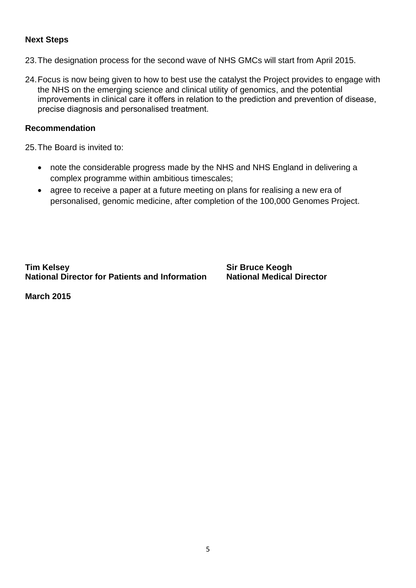## **Next Steps**

- 23.The designation process for the second wave of NHS GMCs will start from April 2015.
- 24.Focus is now being given to how to best use the catalyst the Project provides to engage with the NHS on the emerging science and clinical utility of genomics, and the potential improvements in clinical care it offers in relation to the prediction and prevention of disease, precise diagnosis and personalised treatment.

#### **Recommendation**

25.The Board is invited to:

- note the considerable progress made by the NHS and NHS England in delivering a complex programme within ambitious timescales;
- agree to receive a paper at a future meeting on plans for realising a new era of personalised, genomic medicine, after completion of the 100,000 Genomes Project.

**Tim Kelsey Sir Bruce Keogh National Director for Patients and Information National Medical Director**

**March 2015**